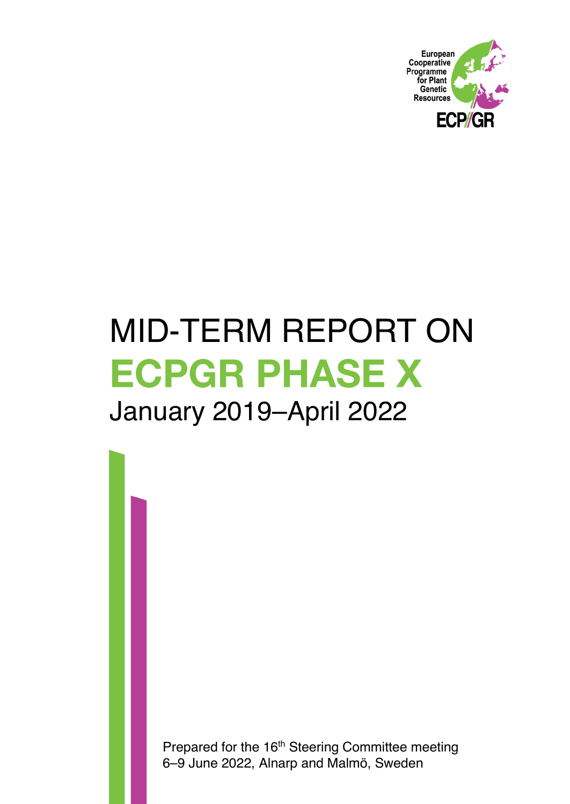

# MID-TERM REPORT ON **ECPGR PHASE X** January 2019–April 2022

Prepared for the 16<sup>th</sup> Steering Committee meeting 6–9 June 2022, Alnarp and Malmö, Sweden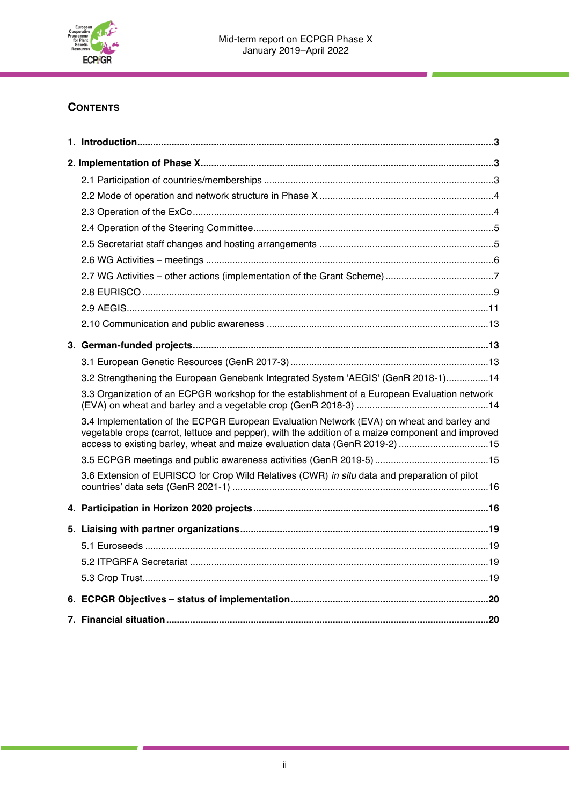

## **CONTENTS**

| 3.2 Strengthening the European Genebank Integrated System 'AEGIS' (GenR 2018-1)14                                                                                                                                                                                             |  |  |  |  |
|-------------------------------------------------------------------------------------------------------------------------------------------------------------------------------------------------------------------------------------------------------------------------------|--|--|--|--|
| 3.3 Organization of an ECPGR workshop for the establishment of a European Evaluation network                                                                                                                                                                                  |  |  |  |  |
| 3.4 Implementation of the ECPGR European Evaluation Network (EVA) on wheat and barley and<br>vegetable crops (carrot, lettuce and pepper), with the addition of a maize component and improved<br>access to existing barley, wheat and maize evaluation data (GenR 2019-2) 15 |  |  |  |  |
|                                                                                                                                                                                                                                                                               |  |  |  |  |
| 3.6 Extension of EURISCO for Crop Wild Relatives (CWR) in situ data and preparation of pilot                                                                                                                                                                                  |  |  |  |  |
|                                                                                                                                                                                                                                                                               |  |  |  |  |
|                                                                                                                                                                                                                                                                               |  |  |  |  |
|                                                                                                                                                                                                                                                                               |  |  |  |  |
|                                                                                                                                                                                                                                                                               |  |  |  |  |
|                                                                                                                                                                                                                                                                               |  |  |  |  |
|                                                                                                                                                                                                                                                                               |  |  |  |  |
|                                                                                                                                                                                                                                                                               |  |  |  |  |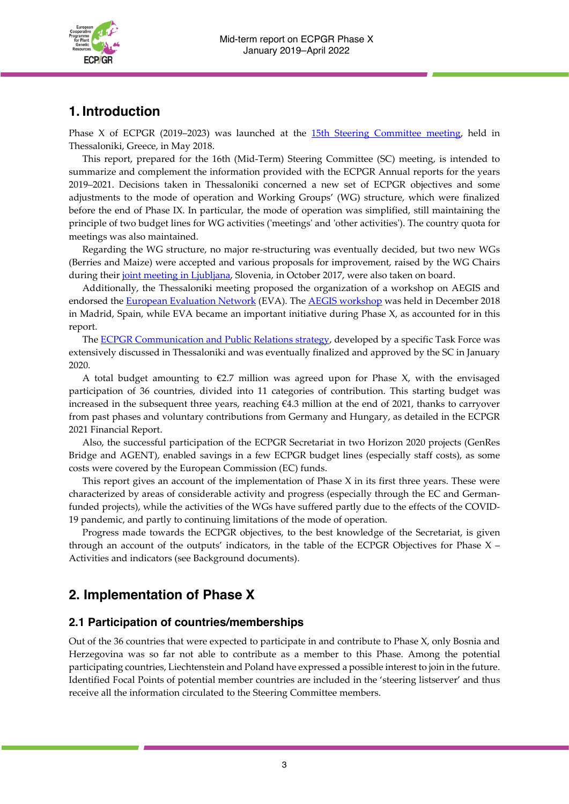

## **1. Introduction**

Phase X of ECPGR (2019–2023) was launched at the 15th Steering [Committee](https://www.ecpgr.cgiar.org/about/steering-committee/15th-sc-meeting) meeting, held in Thessaloniki, Greece, in May 2018.

This report, prepared for the 16th (Mid-Term) Steering Committee (SC) meeting, is intended to summarize and complement the information provided with the ECPGR Annual reports for the years 2019–2021. Decisions taken in Thessaloniki concerned a new set of ECPGR objectives and some adjustments to the mode of operation and Working Groups' (WG) structure, which were finalized before the end of Phase IX. In particular, the mode of operation was simplified, still maintaining the principle of two budget lines for WG activities ('meetings' and 'other activities'). The country quota for meetings was also maintained.

Regarding the WG structure, no major re-structuring was eventually decided, but two new WGs (Berries and Maize) were accepted and various proposals for improvement, raised by the WG Chairs during their joint meeting in [Ljubljana,](https://www.ecpgr.cgiar.org/working-groups/common-working-group-activities/ecpgr-networking) Slovenia, in October 2017, were also taken on board.

Additionally, the Thessaloniki meeting proposed the organization of a workshop on AEGIS and endorsed the **European [Evaluation](https://www.ecpgr.cgiar.org/european-evaluation-network-eva/eva-networks/pepper/eva-pepper-project-meeting) Network (EVA)**. The **AEGIS [workshop](https://www.ecpgr.cgiar.org/aegis/aegis-workshop-2018/aegis-workshop-2018)** was held in December 2018 in Madrid, Spain, while EVA became an important initiative during Phase X, as accounted for in this report.

The ECPGR [Communication](https://www.ecpgr.cgiar.org/fileadmin/templates/ecpgr.org/upload/PHASE_X/Comunication_strategy/ECPGR_communication_strategy_Final_27_01_2020.pdf) and Public Relations strategy, developed by a specific Task Force was extensively discussed in Thessaloniki and was eventually finalized and approved by the SC in January 2020.

A total budget amounting to  $\epsilon$ 2.7 million was agreed upon for Phase X, with the envisaged participation of 36 countries, divided into 11 categories of contribution. This starting budget was increased in the subsequent three years, reaching €4.3 million at the end of 2021, thanks to carryover from past phases and voluntary contributions from Germany and Hungary, as detailed in the ECPGR 2021 Financial Report.

Also, the successful participation of the ECPGR Secretariat in two Horizon 2020 projects (GenRes Bridge and AGENT), enabled savings in a few ECPGR budget lines (especially staff costs), as some costs were covered by the European Commission (EC) funds.

This report gives an account of the implementation of Phase X in its first three years. These were characterized by areas of considerable activity and progress (especially through the EC and Germanfunded projects), while the activities of the WGs have suffered partly due to the effects of the COVID-19 pandemic, and partly to continuing limitations of the mode of operation.

Progress made towards the ECPGR objectives, to the best knowledge of the Secretariat, is given through an account of the outputs' indicators, in the table of the ECPGR Objectives for Phase  $X$  – Activities and indicators (see Background documents).

# **2. Implementation of Phase X**

## **2.1 Participation of countries/memberships**

Out of the 36 countries that were expected to participate in and contribute to Phase X, only Bosnia and Herzegovina was so far not able to contribute as a member to this Phase. Among the potential participating countries, Liechtenstein and Poland have expressed a possible interest to join in the future. Identified Focal Points of potential member countries are included in the 'steering listserver' and thus receive all the information circulated to the Steering Committee members.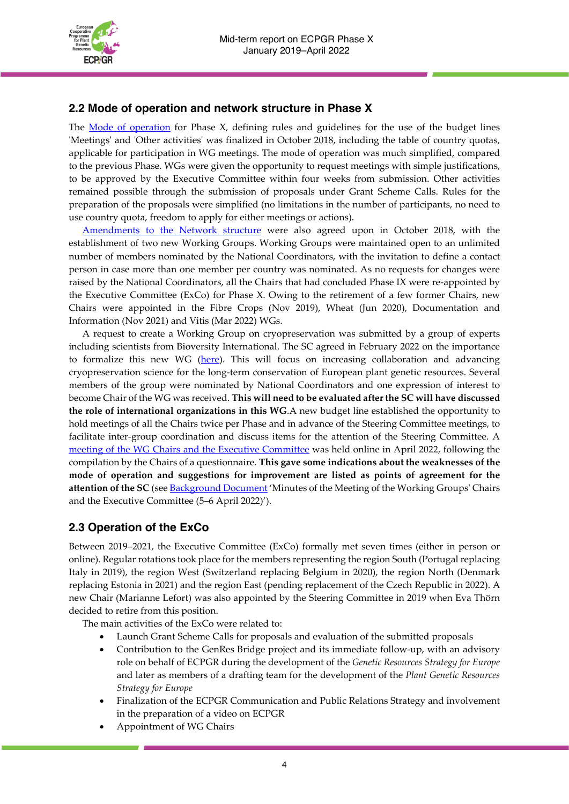

## **2.2 Mode of operation and network structure in Phase X**

The <u>Mode of [operation](https://www.ecpgr.cgiar.org/fileadmin/bioversity/publications/pdfs/Mode_of_Operation_of_ECPGR_Phase_X.pdf)</u> for Phase X, defining rules and guidelines for the use of the budget lines 'Meetings' and 'Other activities' was finalized in October 2018, including the table of country quotas, applicable for participation in WG meetings. The mode of operation was much simplified, compared to the previous Phase. WGs were given the opportunity to request meetings with simple justifications, to be approved by the Executive Committee within four weeks from submission. Other activities remained possible through the submission of proposals under Grant Scheme Calls. Rules for the preparation of the proposals were simplified (no limitations in the number of participants, no need to use country quota, freedom to apply for either meetings or actions).

[Amendments](https://www.ecpgr.cgiar.org/fileadmin/templates/ecpgr.org/upload/PHASE_X/ECPGR_Network_structure-01.pdf) to the Network structure were also agreed upon in October 2018, with the establishment of two new Working Groups. Working Groups were maintained open to an unlimited number of members nominated by the National Coordinators, with the invitation to define a contact person in case more than one member per country was nominated. As no requests for changes were raised by the National Coordinators, all the Chairs that had concluded Phase IX were re-appointed by the Executive Committee (ExCo) for Phase X. Owing to the retirement of a few former Chairs, new Chairs were appointed in the Fibre Crops (Nov 2019), Wheat (Jun 2020), Documentation and Information (Nov 2021) and Vitis (Mar 2022) WGs.

A request to create a Working Group on cryopreservation was submitted by a group of experts including scientists from Bioversity International. The SC agreed in February 2022 on the importance to formalize this new WG [\(here\)](https://www.ecpgr.cgiar.org/working-groups/cryopreservation). This will focus on increasing collaboration and advancing cryopreservation science for the long-term conservation of European plant genetic resources. Several members of the group were nominated by National Coordinators and one expression of interest to become Chair of the WG was received. **This will need to be evaluated after the SC will have discussed the role of international organizations in this WG**.A new budget line established the opportunity to hold meetings of all the Chairs twice per Phase and in advance of the Steering Committee meetings, to facilitate inter-group coordination and discuss items for the attention of the Steering Committee. A meeting of the WG Chairs and the Executive [Committee](file:///C:/Users/sgoritschnig/AppData/Local/Microsoft/Windows/INetCache/Content.Outlook/9A84WPCC/.ecpgr.cgiar.org/working-groups/common-working-group-activities/meeting-of-the-working-groups-chairs-and-the-executive-committee-5-6-april-2022-virtual) was held online in April 2022, following the compilation by the Chairs of a questionnaire. **This gave some indications about the weaknesses of the mode of operation and suggestions for improvement are listed as points of agreement for the attention of the SC** (see [Background](https://www.ecpgr.cgiar.org/about/steering-committee/16th-sc-meeting) Document 'Minutes of the Meeting of the Working Groups' Chairs and the Executive Committee (5–6 April 2022)').

## **2.3 Operation of the ExCo**

Between 2019–2021, the Executive Committee (ExCo) formally met seven times (either in person or online). Regular rotations took place for the members representing the region South (Portugal replacing Italy in 2019), the region West (Switzerland replacing Belgium in 2020), the region North (Denmark replacing Estonia in 2021) and the region East (pending replacement of the Czech Republic in 2022). A new Chair (Marianne Lefort) was also appointed by the Steering Committee in 2019 when Eva Thörn decided to retire from this position.

The main activities of the ExCo were related to:

- Launch Grant Scheme Calls for proposals and evaluation of the submitted proposals
- Contribution to the GenRes Bridge project and its immediate follow-up, with an advisory role on behalf of ECPGR during the development of the *Genetic Resources Strategy for Europe* and later as members of a drafting team for the development of the *Plant Genetic Resources Strategy for Europe*
- Finalization of the ECPGR Communication and Public Relations Strategy and involvement in the preparation of a video on ECPGR
- Appointment of WG Chairs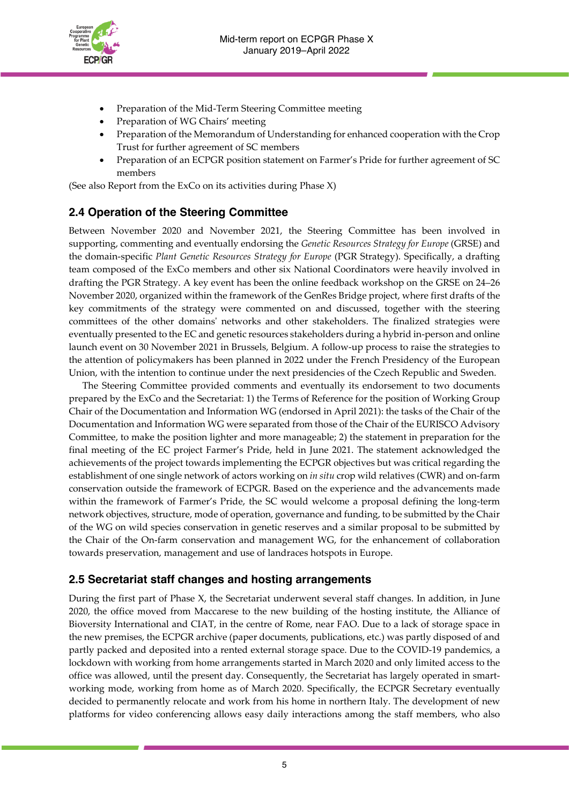

- Preparation of the Mid-Term Steering Committee meeting
- Preparation of WG Chairs' meeting
- Preparation of the Memorandum of Understanding for enhanced cooperation with the Crop Trust for further agreement of SC members
- Preparation of an ECPGR position statement on Farmer's Pride for further agreement of SC members

(See also Report from the ExCo on its activities during Phase X)

## **2.4 Operation of the Steering Committee**

Between November 2020 and November 2021, the Steering Committee has been involved in supporting, commenting and eventually endorsing the *Genetic Resources Strategy for Europe* (GRSE) and the domain-specific *Plant Genetic Resources Strategy for Europe* (PGR Strategy). Specifically, a drafting team composed of the ExCo members and other six National Coordinators were heavily involved in drafting the PGR Strategy. A key event has been the online feedback workshop on the GRSE on 24–26 November 2020, organized within the framework of the GenRes Bridge project, where first drafts of the key commitments of the strategy were commented on and discussed, together with the steering committees of the other domains' networks and other stakeholders. The finalized strategies were eventually presented to the EC and genetic resources stakeholders during a hybrid in-person and online launch event on 30 November 2021 in Brussels, Belgium. A follow-up process to raise the strategies to the attention of policymakers has been planned in 2022 under the French Presidency of the European Union, with the intention to continue under the next presidencies of the Czech Republic and Sweden.

The Steering Committee provided comments and eventually its endorsement to two documents prepared by the ExCo and the Secretariat: 1) the Terms of Reference for the position of Working Group Chair of the Documentation and Information WG (endorsed in April 2021): the tasks of the Chair of the Documentation and Information WG were separated from those of the Chair of the EURISCO Advisory Committee, to make the position lighter and more manageable; 2) the statement in preparation for the final meeting of the EC project Farmer's Pride, held in June 2021. The statement acknowledged the achievements of the project towards implementing the ECPGR objectives but was critical regarding the establishment of one single network of actors working on *in situ* crop wild relatives (CWR) and on-farm conservation outside the framework of ECPGR. Based on the experience and the advancements made within the framework of Farmer's Pride, the SC would welcome a proposal defining the long-term network objectives, structure, mode of operation, governance and funding, to be submitted by the Chair of the WG on wild species conservation in genetic reserves and a similar proposal to be submitted by the Chair of the On-farm conservation and management WG, for the enhancement of collaboration towards preservation, management and use of landraces hotspots in Europe.

## **2.5 Secretariat staff changes and hosting arrangements**

During the first part of Phase X, the Secretariat underwent several staff changes. In addition, in June 2020, the office moved from Maccarese to the new building of the hosting institute, the Alliance of Bioversity International and CIAT, in the centre of Rome, near FAO. Due to a lack of storage space in the new premises, the ECPGR archive (paper documents, publications, etc.) was partly disposed of and partly packed and deposited into a rented external storage space. Due to the COVID-19 pandemics, a lockdown with working from home arrangements started in March 2020 and only limited access to the office was allowed, until the present day. Consequently, the Secretariat has largely operated in smartworking mode, working from home as of March 2020. Specifically, the ECPGR Secretary eventually decided to permanently relocate and work from his home in northern Italy. The development of new platforms for video conferencing allows easy daily interactions among the staff members, who also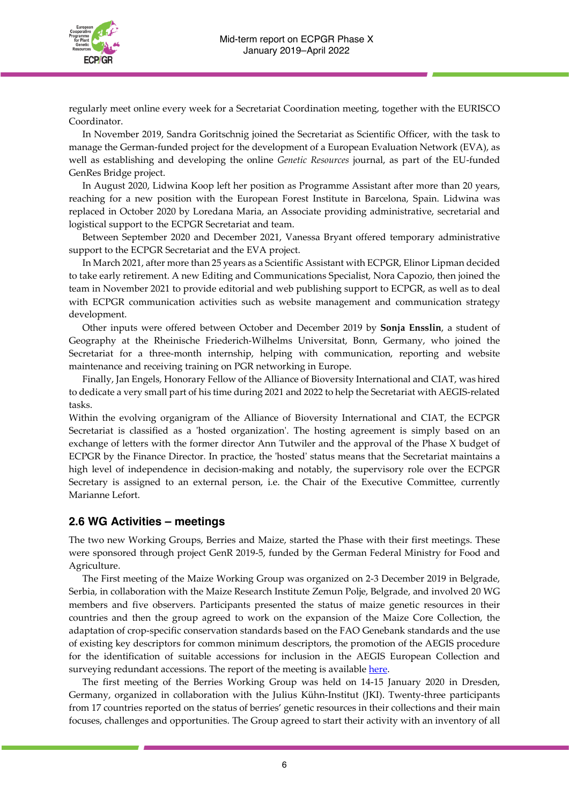

regularly meet online every week for a Secretariat Coordination meeting, together with the EURISCO Coordinator.

In November 2019, Sandra Goritschnig joined the Secretariat as Scientific Officer, with the task to manage the German-funded project for the development of a European Evaluation Network (EVA), as well as establishing and developing the online *Genetic Resources* journal, as part of the EU-funded GenRes Bridge project.

In August 2020, Lidwina Koop left her position as Programme Assistant after more than 20 years, reaching for a new position with the European Forest Institute in Barcelona, Spain. Lidwina was replaced in October 2020 by Loredana Maria, an Associate providing administrative, secretarial and logistical support to the ECPGR Secretariat and team.

Between September 2020 and December 2021, Vanessa Bryant offered temporary administrative support to the ECPGR Secretariat and the EVA project.

In March 2021, after more than 25 years as a Scientific Assistant with ECPGR, Elinor Lipman decided to take early retirement. A new Editing and Communications Specialist, Nora Capozio, then joined the team in November 2021 to provide editorial and web publishing support to ECPGR, as well as to deal with ECPGR communication activities such as website management and communication strategy development.

Other inputs were offered between October and December 2019 by **Sonja Ensslin**, a student of Geography at the Rheinische Friederich-Wilhelms Universitat, Bonn, Germany, who joined the Secretariat for a three-month internship, helping with communication, reporting and website maintenance and receiving training on PGR networking in Europe.

Finally, Jan Engels, Honorary Fellow of the Alliance of Bioversity International and CIAT, was hired to dedicate a very small part of his time during 2021 and 2022 to help the Secretariat with AEGIS-related tasks.

Within the evolving organigram of the Alliance of Bioversity International and CIAT, the ECPGR Secretariat is classified as a 'hosted organization'. The hosting agreement is simply based on an exchange of letters with the former director Ann Tutwiler and the approval of the Phase X budget of ECPGR by the Finance Director. In practice, the 'hosted' status means that the Secretariat maintains a high level of independence in decision-making and notably, the supervisory role over the ECPGR Secretary is assigned to an external person, i.e. the Chair of the Executive Committee, currently Marianne Lefort.

## **2.6 WG Activities – meetings**

The two new Working Groups, Berries and Maize, started the Phase with their first meetings. These were sponsored through project GenR 2019-5, funded by the German Federal Ministry for Food and Agriculture.

The First meeting of the Maize Working Group was organized on 2-3 December 2019 in Belgrade, Serbia, in collaboration with the Maize Research Institute Zemun Polje, Belgrade, and involved 20 WG members and five observers. Participants presented the status of maize genetic resources in their countries and then the group agreed to work on the expansion of the Maize Core Collection, the adaptation of crop-specific conservation standards based on the FAO Genebank standards and the use of existing key descriptors for common minimum descriptors, the promotion of the AEGIS procedure for the identification of suitable accessions for inclusion in the AEGIS European Collection and surveying redundant accessions. The report of the meeting is available [here.](https://www.ecpgr.cgiar.org/resources/ecpgr-publications/publication/report-of-a-working-group-on-maize-first-meeting-belgrade-serbia-2-3-december-2019-2020)

The first meeting of the Berries Working Group was held on 14-15 January 2020 in Dresden, Germany, organized in collaboration with the Julius Kühn-Institut (JKI). Twenty-three participants from 17 countries reported on the status of berries' genetic resources in their collections and their main focuses, challenges and opportunities. The Group agreed to start their activity with an inventory of all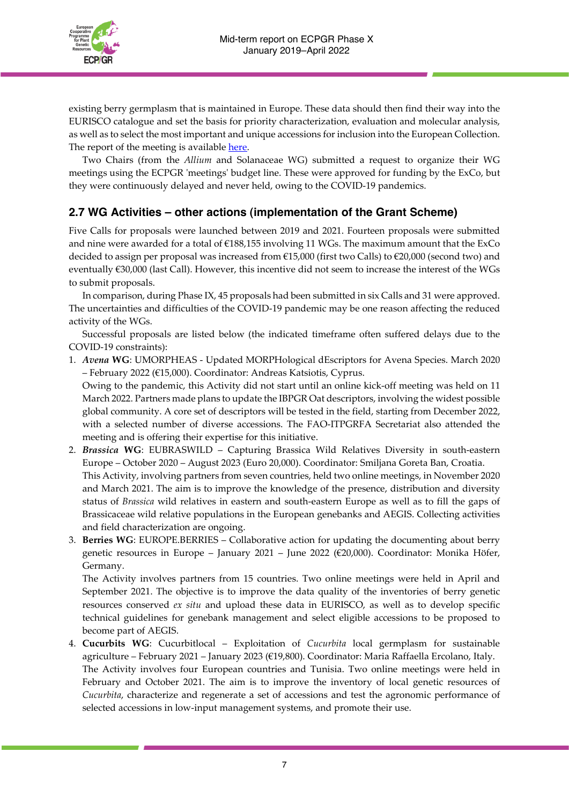

existing berry germplasm that is maintained in Europe. These data should then find their way into the EURISCO catalogue and set the basis for priority characterization, evaluation and molecular analysis, as well as to select the most important and unique accessions for inclusion into the European Collection. The report of the meeting is available [here.](https://www.ecpgr.cgiar.org/resources/ecpgr-publications/publication/report-of-a-working-group-on-berries-first-meeting-14-15-january-2020-dresden-germany-2021)

Two Chairs (from the *Allium* and Solanaceae WG) submitted a request to organize their WG meetings using the ECPGR 'meetings' budget line. These were approved for funding by the ExCo, but they were continuously delayed and never held, owing to the COVID-19 pandemics.

## **2.7 WG Activities – other actions (implementation of the Grant Scheme)**

Five Calls for proposals were launched between 2019 and 2021. Fourteen proposals were submitted and nine were awarded for a total of €188,155 involving 11 WGs. The maximum amount that the ExCo decided to assign per proposal was increased from €15,000 (first two Calls) to €20,000 (second two) and eventually €30,000 (last Call). However, this incentive did not seem to increase the interest of the WGs to submit proposals.

In comparison, during Phase IX, 45 proposals had been submitted in six Calls and 31 were approved. The uncertainties and difficulties of the COVID-19 pandemic may be one reason affecting the reduced activity of the WGs.

Successful proposals are listed below (the indicated timeframe often suffered delays due to the COVID-19 constraints):

1. *Avena* **WG**: UMORPHEAS - Updated MORPHological dEscriptors for Avena Species. March 2020 – February 2022 (€15,000). Coordinator: Andreas Katsiotis, Cyprus.

Owing to the pandemic, this Activity did not start until an online kick-off meeting was held on 11 March 2022. Partners made plans to update the IBPGR Oat descriptors, involving the widest possible global community. A core set of descriptors will be tested in the field, starting from December 2022, with a selected number of diverse accessions. The FAO-ITPGRFA Secretariat also attended the meeting and is offering their expertise for this initiative.

- 2. *Brassica* **WG**: EUBRASWILD Capturing Brassica Wild Relatives Diversity in south-eastern Europe – October 2020 – August 2023 (Euro 20,000). Coordinator: Smiljana Goreta Ban, Croatia. This Activity, involving partners from seven countries, held two online meetings, in November 2020 and March 2021. The aim is to improve the knowledge of the presence, distribution and diversity status of *Brassica* wild relatives in eastern and south-eastern Europe as well as to fill the gaps of Brassicaceae wild relative populations in the European genebanks and AEGIS. Collecting activities and field characterization are ongoing.
- 3. **Berries WG**: EUROPE.BERRIES Collaborative action for updating the documenting about berry genetic resources in Europe – January 2021 – June 2022 (€20,000). Coordinator: Monika Höfer, Germany.

The Activity involves partners from 15 countries. Two online meetings were held in April and September 2021. The objective is to improve the data quality of the inventories of berry genetic resources conserved *ex situ* and upload these data in EURISCO, as well as to develop specific technical guidelines for genebank management and select eligible accessions to be proposed to become part of AEGIS.

4. **Cucurbits WG**: Cucurbitlocal – Exploitation of *Cucurbita* local germplasm for sustainable agriculture – February 2021 – January 2023 (€19,800). Coordinator: Maria Raffaella Ercolano, Italy. The Activity involves four European countries and Tunisia. Two online meetings were held in February and October 2021. The aim is to improve the inventory of local genetic resources of *Cucurbita*, characterize and regenerate a set of accessions and test the agronomic performance of selected accessions in low-input management systems, and promote their use.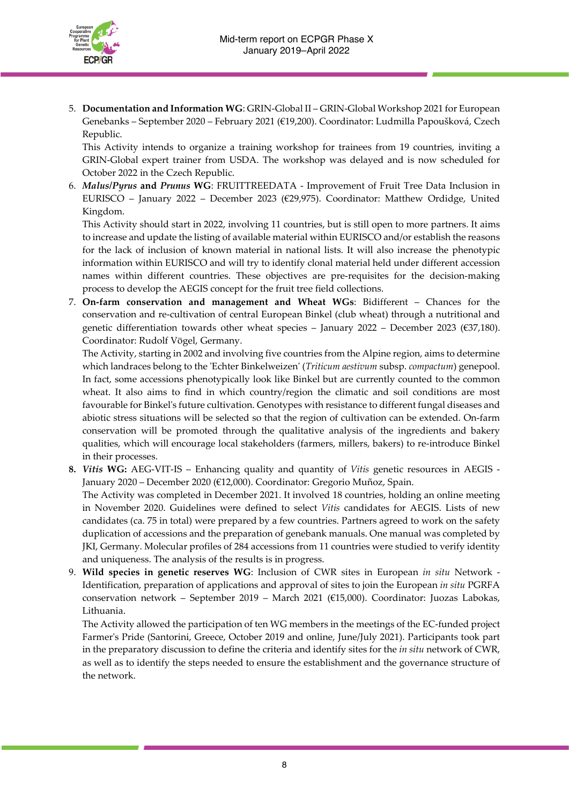

5. **Documentation and Information WG**: GRIN-Global II – GRIN-Global Workshop 2021 for European Genebanks – September 2020 – February 2021 (€19,200). Coordinator: Ludmilla Papoušková, Czech Republic.

This Activity intends to organize a training workshop for trainees from 19 countries, inviting a GRIN-Global expert trainer from USDA. The workshop was delayed and is now scheduled for October 2022 in the Czech Republic.

6. *Malus***/***Pyrus* **and** *Prunus* **WG**: FRUITTREEDATA - Improvement of Fruit Tree Data Inclusion in EURISCO – January 2022 – December 2023 (€29,975). Coordinator: Matthew Ordidge, United Kingdom.

This Activity should start in 2022, involving 11 countries, but is still open to more partners. It aims to increase and update the listing of available material within EURISCO and/or establish the reasons for the lack of inclusion of known material in national lists. It will also increase the phenotypic information within EURISCO and will try to identify clonal material held under different accession names within different countries. These objectives are pre-requisites for the decision-making process to develop the AEGIS concept for the fruit tree field collections.

7. **On-farm conservation and management and Wheat WGs**: Bidifferent – Chances for the conservation and re-cultivation of central European Binkel (club wheat) through a nutritional and genetic differentiation towards other wheat species – January 2022 – December 2023 (€37,180). Coordinator: Rudolf Vögel, Germany.

The Activity, starting in 2002 and involving five countries from the Alpine region, aims to determine which landraces belong to the 'Echter Binkelweizen' (*Triticum aestivum* subsp. *compactum*) genepool. In fact, some accessions phenotypically look like Binkel but are currently counted to the common wheat. It also aims to find in which country/region the climatic and soil conditions are most favourable for Binkel's future cultivation. Genotypes with resistance to different fungal diseases and abiotic stress situations will be selected so that the region of cultivation can be extended. On-farm conservation will be promoted through the qualitative analysis of the ingredients and bakery qualities, which will encourage local stakeholders (farmers, millers, bakers) to re-introduce Binkel in their processes.

- **8.** *Vitis* **WG:** AEG-VIT-IS Enhancing quality and quantity of *Vitis* genetic resources in AEGIS January 2020 – December 2020 (€12,000). Coordinator: Gregorio Muñoz, Spain. The Activity was completed in December 2021. It involved 18 countries, holding an online meeting in November 2020. Guidelines were defined to select *Vitis* candidates for AEGIS. Lists of new candidates (ca. 75 in total) were prepared by a few countries. Partners agreed to work on the safety duplication of accessions and the preparation of genebank manuals. One manual was completed by JKI, Germany. Molecular profiles of 284 accessions from 11 countries were studied to verify identity and uniqueness. The analysis of the results is in progress.
- 9. **Wild species in genetic reserves WG**: Inclusion of CWR sites in European *in situ* Network Identification, preparation of applications and approval of sites to join the European *in situ* PGRFA conservation network – September 2019 – March 2021 (€15,000). Coordinator: Juozas Labokas, Lithuania.

The Activity allowed the participation of ten WG members in the meetings of the EC-funded project Farmer's Pride (Santorini, Greece, October 2019 and online, June/July 2021). Participants took part in the preparatory discussion to define the criteria and identify sites for the *in situ* network of CWR, as well as to identify the steps needed to ensure the establishment and the governance structure of the network.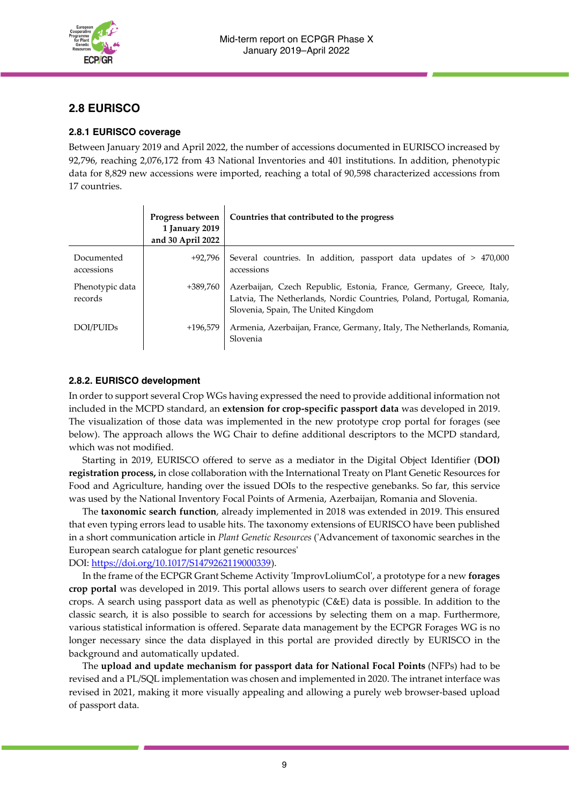

## **2.8 EURISCO**

#### **2.8.1 EURISCO coverage**

Between January 2019 and April 2022, the number of accessions documented in EURISCO increased by 92,796, reaching 2,076,172 from 43 National Inventories and 401 institutions. In addition, phenotypic data for 8,829 new accessions were imported, reaching a total of 90,598 characterized accessions from 17 countries.

|                            | Progress between<br>1 January 2019<br>and 30 April 2022 | Countries that contributed to the progress                                                                                                                                           |
|----------------------------|---------------------------------------------------------|--------------------------------------------------------------------------------------------------------------------------------------------------------------------------------------|
| Documented<br>accessions   | +92.796                                                 | Several countries. In addition, passport data updates of $> 470,000$<br>accessions                                                                                                   |
| Phenotypic data<br>records | +389,760                                                | Azerbaijan, Czech Republic, Estonia, France, Germany, Greece, Italy,<br>Latvia, The Netherlands, Nordic Countries, Poland, Portugal, Romania,<br>Slovenia, Spain, The United Kingdom |
| DOI/PUID <sub>s</sub>      | $+196.579$                                              | Armenia, Azerbaijan, France, Germany, Italy, The Netherlands, Romania,<br>Slovenia                                                                                                   |

#### **2.8.2. EURISCO development**

In order to support several Crop WGs having expressed the need to provide additional information not included in the MCPD standard, an **extension for crop-specific passport data** was developed in 2019. The visualization of those data was implemented in the new prototype crop portal for forages (see below). The approach allows the WG Chair to define additional descriptors to the MCPD standard, which was not modified.

Starting in 2019, EURISCO offered to serve as a mediator in the Digital Object Identifier (**DOI) registration process,** in close collaboration with the International Treaty on Plant Genetic Resources for Food and Agriculture, handing over the issued DOIs to the respective genebanks. So far, this service was used by the National Inventory Focal Points of Armenia, Azerbaijan, Romania and Slovenia.

The **taxonomic search function**, already implemented in 2018 was extended in 2019. This ensured that even typing errors lead to usable hits. The taxonomy extensions of EURISCO have been published in a short communication article in *Plant Genetic Resources* ('Advancement of taxonomic searches in the European search catalogue for plant genetic resources'

DOI: [https://doi.org/10.1017/S1479262119000339\)](https://doi.org/10.1017/S1479262119000339).

In the frame of the ECPGR Grant Scheme Activity 'ImprovLoliumCol', a prototype for a new **forages crop portal** was developed in 2019. This portal allows users to search over different genera of forage crops. A search using passport data as well as phenotypic (C&E) data is possible. In addition to the classic search, it is also possible to search for accessions by selecting them on a map. Furthermore, various statistical information is offered. Separate data management by the ECPGR Forages WG is no longer necessary since the data displayed in this portal are provided directly by EURISCO in the background and automatically updated.

The **upload and update mechanism for passport data for National Focal Points** (NFPs) had to be revised and a PL/SQL implementation was chosen and implemented in 2020. The intranet interface was revised in 2021, making it more visually appealing and allowing a purely web browser-based upload of passport data.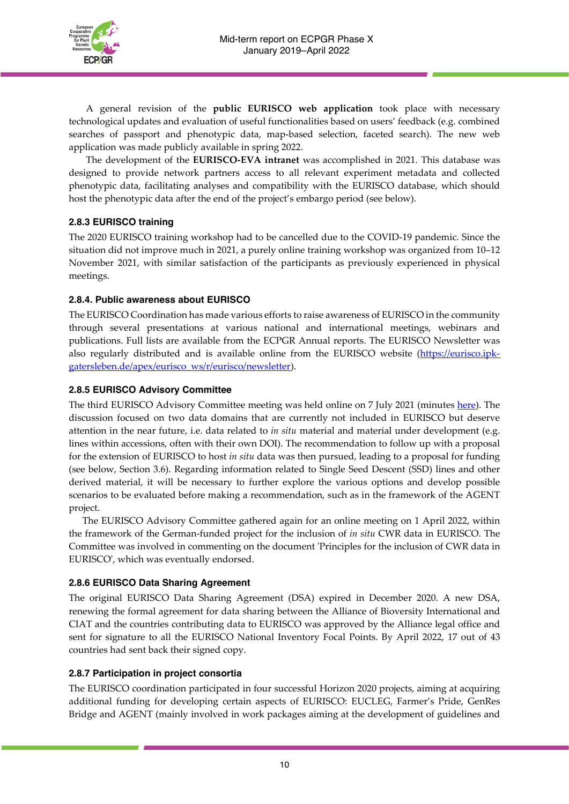

A general revision of the **public EURISCO web application** took place with necessary technological updates and evaluation of useful functionalities based on users' feedback (e.g. combined searches of passport and phenotypic data, map-based selection, faceted search). The new web application was made publicly available in spring 2022.

The development of the **EURISCO-EVA intranet** was accomplished in 2021. This database was designed to provide network partners access to all relevant experiment metadata and collected phenotypic data, facilitating analyses and compatibility with the EURISCO database, which should host the phenotypic data after the end of the project's embargo period (see below).

## **2.8.3 EURISCO training**

The 2020 EURISCO training workshop had to be cancelled due to the COVID-19 pandemic. Since the situation did not improve much in 2021, a purely online training workshop was organized from 10–12 November 2021, with similar satisfaction of the participants as previously experienced in physical meetings.

## **2.8.4. Public awareness about EURISCO**

The EURISCO Coordination has made various efforts to raise awareness of EURISCO in the community through several presentations at various national and international meetings, webinars and publications. Full lists are available from the ECPGR Annual reports. The EURISCO Newsletter was also regularly distributed and is available online from the EURISCO website [\(https://eurisco.ipk](https://eurisco.ipk-gatersleben.de/apex/eurisco_ws/r/eurisco/newsletter)[gatersleben.de/apex/eurisco\\_ws/r/eurisco/newsletter\)](https://eurisco.ipk-gatersleben.de/apex/eurisco_ws/r/eurisco/newsletter).

## **2.8.5 EURISCO Advisory Committee**

The third EURISCO Advisory Committee meeting was held online on 7 July 2021 (minutes [here\)](https://www.ecpgr.cgiar.org/fileadmin/templates/ecpgr.org/upload/EURISCO/Third_meeting_of_the_EURISCO_AC_July_2021/Minutes_EURISCO_AC_July_2021-_Final.pdf). The discussion focused on two data domains that are currently not included in EURISCO but deserve attention in the near future, i.e. data related to *in situ* material and material under development (e.g. lines within accessions, often with their own DOI). The recommendation to follow up with a proposal for the extension of EURISCO to host *in situ* data was then pursued, leading to a proposal for funding (see below, Section 3.6). Regarding information related to Single Seed Descent (SSD) lines and other derived material, it will be necessary to further explore the various options and develop possible scenarios to be evaluated before making a recommendation, such as in the framework of the AGENT project.

The EURISCO Advisory Committee gathered again for an online meeting on 1 April 2022, within the framework of the German-funded project for the inclusion of *in situ* CWR data in EURISCO. The Committee was involved in commenting on the document 'Principles for the inclusion of CWR data in EURISCO', which was eventually endorsed.

## **2.8.6 EURISCO Data Sharing Agreement**

The original EURISCO Data Sharing Agreement (DSA) expired in December 2020. A new DSA, renewing the formal agreement for data sharing between the Alliance of Bioversity International and CIAT and the countries contributing data to EURISCO was approved by the Alliance legal office and sent for signature to all the EURISCO National Inventory Focal Points. By April 2022, 17 out of 43 countries had sent back their signed copy.

## **2.8.7 Participation in project consortia**

The EURISCO coordination participated in four successful Horizon 2020 projects, aiming at acquiring additional funding for developing certain aspects of EURISCO: EUCLEG, Farmer's Pride, GenRes Bridge and AGENT (mainly involved in work packages aiming at the development of guidelines and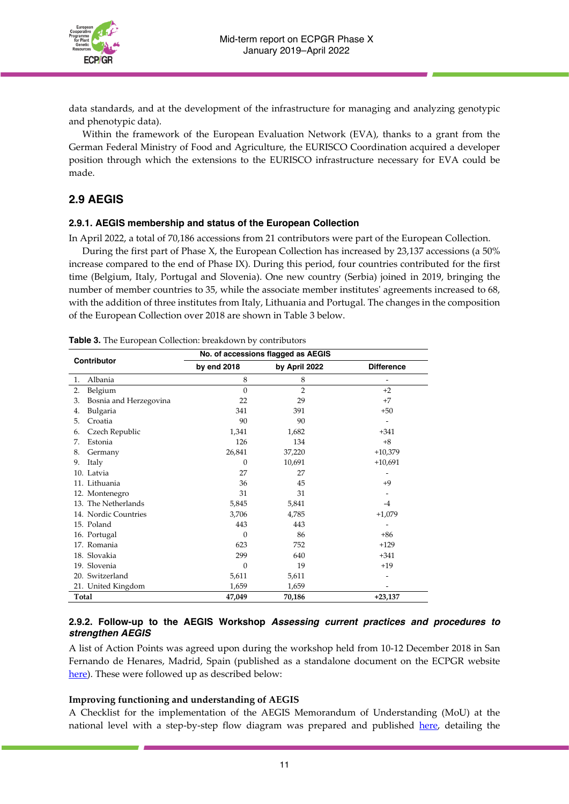

data standards, and at the development of the infrastructure for managing and analyzing genotypic and phenotypic data).

Within the framework of the European Evaluation Network (EVA), thanks to a grant from the German Federal Ministry of Food and Agriculture, the EURISCO Coordination acquired a developer position through which the extensions to the EURISCO infrastructure necessary for EVA could be made.

## **2.9 AEGIS**

#### **2.9.1. AEGIS membership and status of the European Collection**

In April 2022, a total of 70,186 accessions from 21 contributors were part of the European Collection.

During the first part of Phase X, the European Collection has increased by 23,137 accessions (a 50% increase compared to the end of Phase IX). During this period, four countries contributed for the first time (Belgium, Italy, Portugal and Slovenia). One new country (Serbia) joined in 2019, bringing the number of member countries to 35, while the associate member institutes' agreements increased to 68, with the addition of three institutes from Italy, Lithuania and Portugal. The changes in the composition of the European Collection over 2018 are shown in Table 3 below.

|                              | No. of accessions flagged as AEGIS |                |                   |
|------------------------------|------------------------------------|----------------|-------------------|
| Contributor                  | by end 2018                        | by April 2022  | <b>Difference</b> |
| Albania<br>1.                | 8                                  | 8              | -                 |
| Belgium<br>2.                | $\mathbf{0}$                       | $\overline{2}$ | $+2$              |
| Bosnia and Herzegovina<br>3. | 22                                 | 29             | $+7$              |
| Bulgaria<br>4.               | 341                                | 391            | $+50$             |
| Croatia<br>5.                | 90                                 | 90             | ۰                 |
| Czech Republic<br>6.         | 1,341                              | 1,682          | $+341$            |
| Estonia<br>7.                | 126                                | 134            | $+8$              |
| Germany<br>8.                | 26,841                             | 37,220         | $+10,379$         |
| Italy<br>9.                  | $\Omega$                           | 10,691         | $+10,691$         |
| 10. Latvia                   | 27                                 | 27             |                   |
| 11. Lithuania                | 36                                 | 45             | $+9$              |
| 12. Montenegro               | 31                                 | 31             |                   |
| 13. The Netherlands          | 5,845                              | 5,841          | $-4$              |
| 14. Nordic Countries         | 3,706                              | 4,785          | $+1,079$          |
| 15. Poland                   | 443                                | 443            |                   |
| 16. Portugal                 | $\Omega$                           | 86             | $+86$             |
| 17. Romania                  | 623                                | 752            | $+129$            |
| 18. Slovakia                 | 299                                | 640            | $+341$            |
| 19. Slovenia                 | $\theta$                           | 19             | $+19$             |
| 20. Switzerland              | 5,611                              | 5,611          |                   |
| 21. United Kingdom           | 1,659                              | 1,659          |                   |
| Total                        | 47,049                             | 70,186         | $+23,137$         |

**Table 3.** The European Collection: breakdown by contributors

#### **2.9.2. Follow-up to the AEGIS Workshop** *Assessing current practices and procedures to strengthen AEGIS*

A list of Action Points was agreed upon during the workshop held from 10-12 December 2018 in San Fernando de Henares, Madrid, Spain (published as a standalone document on the ECPGR website [here\)](https://www.ecpgr.cgiar.org/fileadmin/templates/ecpgr.org/upload/AEGIS/AEGIS_WORKSHOP_2018/AEGIS_Workshop_Annex_3_Action_points.pdf). These were followed up as described below:

#### **Improving functioning and understanding of AEGIS**

A Checklist for the implementation of the AEGIS Memorandum of Understanding (MoU) at the national level with a step-by-step flow diagram was prepared and published [here,](https://www.ecpgr.cgiar.org/aegis/aegis-membership/becoming-an-aegis-member) detailing the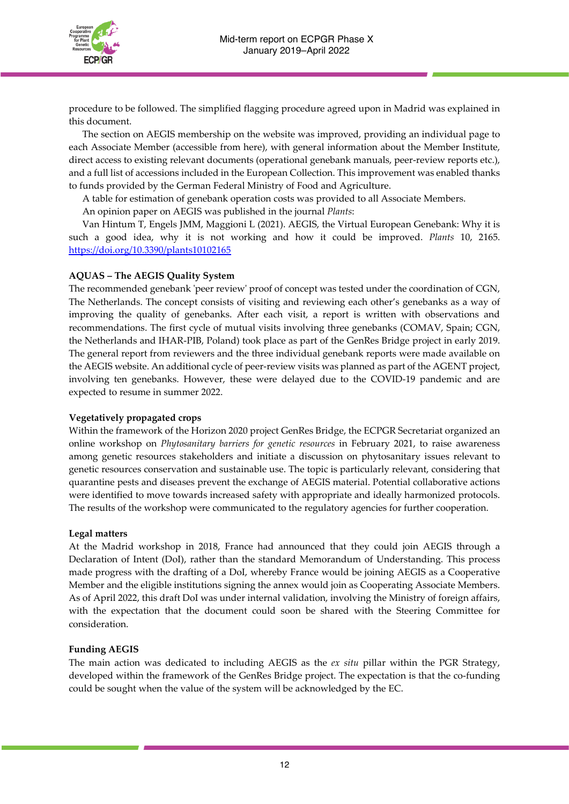

procedure to be followed. The simplified flagging procedure agreed upon in Madrid was explained in this document.

The section on AEGIS membership on the website was improved, providing an individual page to each Associate Member (accessible from [here\)](https://www.ecpgr.cgiar.org/aegis/aegis-membership/associate-member-agreements), with general information about the Member Institute, direct access to existing relevant documents (operational genebank manuals, peer-review reports etc.), and a full list of accessions included in the European Collection. This improvement was enabled thanks to funds provided by the German Federal Ministry of Food and Agriculture.

A table for estimation of genebank operation costs was provided to all Associate Members.

An opinion paper on AEGIS was published in the journal *Plants*:

Van Hintum T, Engels JMM, Maggioni L (2021). AEGIS, the Virtual European Genebank: Why it is such a good idea, why it is not working and how it could be improved. *Plants* 10, 2165. <https://doi.org/10.3390/plants10102165>

#### **AQUAS – The AEGIS Quality System**

The recommended genebank 'peer review' proof of concept was tested under the coordination of CGN, The Netherlands. The concept consists of visiting and reviewing each other's genebanks as a way of improving the quality of genebanks. After each visit, a report is written with observations and recommendations. The first cycle of mutual visits involving three genebanks (COMAV, Spain; CGN, the Netherlands and IHAR-PIB, Poland) took place as part of the GenRes Bridge project in early 2019. The general report from reviewers and the three individual genebank reports were made available on the AEGIS website. An additional cycle of peer-review visits was planned as part of the AGENT project, involving ten genebanks. However, these were delayed due to the COVID-19 pandemic and are expected to resume in summer 2022.

#### **Vegetatively propagated crops**

Within the framework of the Horizon 2020 project GenRes Bridge, the ECPGR Secretariat organized an online workshop on *Phytosanitary barriers for genetic resources* in February 2021, to raise awareness among genetic resources stakeholders and initiate a discussion on phytosanitary issues relevant to genetic resources conservation and sustainable use. The topic is particularly relevant, considering that quarantine pests and diseases prevent the exchange of AEGIS material. Potential collaborative actions were identified to move towards increased safety with appropriate and ideally harmonized protocols. The results of the workshop were communicated to the regulatory agencies for further cooperation.

#### **Legal matters**

At the Madrid workshop in 2018, France had announced that they could join AEGIS through a Declaration of Intent (DoI), rather than the standard Memorandum of Understanding. This process made progress with the drafting of a DoI, whereby France would be joining AEGIS as a Cooperative Member and the eligible institutions signing the annex would join as Cooperating Associate Members. As of April 2022, this draft DoI was under internal validation, involving the Ministry of foreign affairs, with the expectation that the document could soon be shared with the Steering Committee for consideration.

#### **Funding AEGIS**

The main action was dedicated to including AEGIS as the *ex situ* pillar within the PGR Strategy, developed within the framework of the GenRes Bridge project. The expectation is that the co-funding could be sought when the value of the system will be acknowledged by the EC.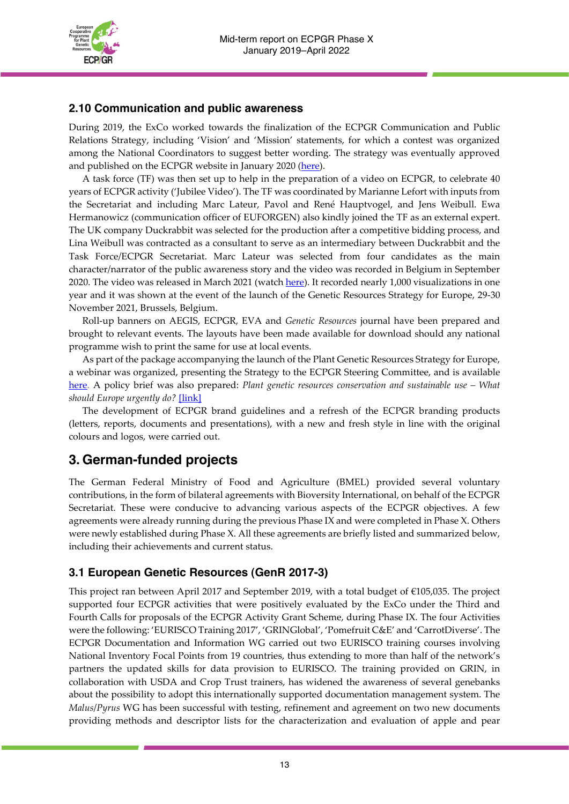

## **2.10 Communication and public awareness**

During 2019, the ExCo worked towards the finalization of the ECPGR Communication and Public Relations Strategy, including 'Vision' and 'Mission' statements, for which a contest was organized among the National Coordinators to suggest better wording. The strategy was eventually approved and published on the ECPGR website in January 2020 [\(here\)](https://www.ecpgr.cgiar.org/fileadmin/templates/ecpgr.org/upload/PHASE_X/Comunication_strategy/ECPGR_communication_strategy_Final_27_01_2020.pdf).

A task force (TF) was then set up to help in the preparation of a video on ECPGR, to celebrate 40 years of ECPGR activity ('Jubilee Video'). The TF was coordinated by Marianne Lefort with inputs from the Secretariat and including Marc Lateur, Pavol and René Hauptvogel, and Jens Weibull. Ewa Hermanowicz (communication officer of EUFORGEN) also kindly joined the TF as an external expert. The UK company Duckrabbit was selected for the production after a competitive bidding process, and Lina Weibull was contracted as a consultant to serve as an intermediary between Duckrabbit and the Task Force/ECPGR Secretariat. Marc Lateur was selected from four candidates as the main character/narrator of the public awareness story and the video was recorded in Belgium in September 2020. The video was released in March 2021 (watch [here\)](https://www.youtube.com/watch?v=6JsTUZ-fOFM). It recorded nearly 1,000 visualizations in one year and it was shown at the event of the launch of the Genetic Resources Strategy for Europe, 29-30 November 2021, Brussels, Belgium.

Roll-up banners on AEGIS, ECPGR, EVA and *Genetic Resources* journal have been prepared and brought to relevant events. The layouts have been made available for download should any national programme wish to print the same for use at local events.

As part of the package accompanying the launch of the Plant Genetic Resources Strategy for Europe, a webinar was organized, presenting the Strategy to the ECPGR Steering Committee, and is available [here.](https://www.ecpgr.cgiar.org/resources/latest-news/news-detail/webinar-on-the-plant-genetic-resources-strategy-for-europe) A policy brief was also prepared: *Plant genetic resources conservation and sustainable use – What should Europe urgently do?* [\[link\]](https://www.ecpgr.cgiar.org/resources/ecpgr-publications/publication/plant-genetic-resources-conservation-and-sustainable-use-what-should-europe-urgently-do-0)

The development of ECPGR brand guidelines and a refresh of the ECPGR branding products (letters, reports, documents and presentations), with a new and fresh style in line with the original colours and logos, were carried out.

# **3. German-funded projects**

The German Federal Ministry of Food and Agriculture (BMEL) provided several voluntary contributions, in the form of bilateral agreements with Bioversity International, on behalf of the ECPGR Secretariat. These were conducive to advancing various aspects of the ECPGR objectives. A few agreements were already running during the previous Phase IX and were completed in Phase X. Others were newly established during Phase X. All these agreements are briefly listed and summarized below, including their achievements and current status.

## **3.1 European Genetic Resources (GenR 2017-3)**

This project ran between April 2017 and September 2019, with a total budget of €105,035. The project supported four ECPGR activities that were positively evaluated by the ExCo under the Third and Fourth Calls for proposals of the ECPGR Activity Grant Scheme, during Phase IX. The four Activities were the following: 'EURISCO Training 2017', 'GRINGlobal', 'Pomefruit C&E' and 'CarrotDiverse'. The ECPGR Documentation and Information WG carried out two EURISCO training courses involving National Inventory Focal Points from 19 countries, thus extending to more than half of the network's partners the updated skills for data provision to EURISCO. The training provided on GRIN, in collaboration with USDA and Crop Trust trainers, has widened the awareness of several genebanks about the possibility to adopt this internationally supported documentation management system. The *Malus*/*Pyrus* WG has been successful with testing, refinement and agreement on two new documents providing methods and descriptor lists for the characterization and evaluation of apple and pear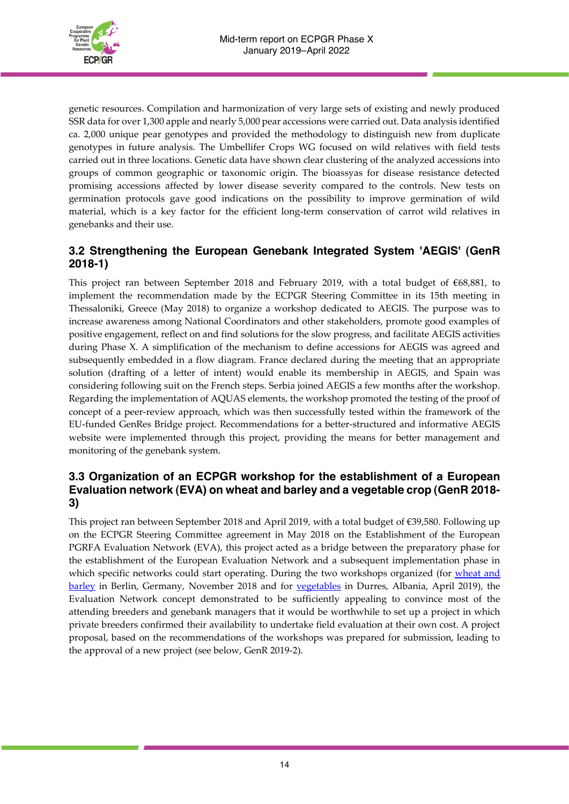

genetic resources. Compilation and harmonization of very large sets of existing and newly produced SSR data for over 1,300 apple and nearly 5,000 pear accessions were carried out. Data analysis identified ca. 2,000 unique pear genotypes and provided the methodology to distinguish new from duplicate genotypes in future analysis. The Umbellifer Crops WG focused on wild relatives with field tests carried out in three locations. Genetic data have shown clear clustering of the analyzed accessions into groups of common geographic or taxonomic origin. The bioassyas for disease resistance detected promising accessions affected by lower disease severity compared to the controls. New tests on germination protocols gave good indications on the possibility to improve germination of wild material, which is a key factor for the efficient long-term conservation of carrot wild relatives in genebanks and their use.

## **3.2 Strengthening the European Genebank Integrated System 'AEGIS' (GenR 2018-1)**

This project ran between September 2018 and February 2019, with a total budget of €68,881, to implement the recommendation made by the ECPGR Steering Committee in its 15th meeting in Thessaloniki, Greece (May 2018) to organize a workshop dedicated to AEGIS. The purpose was to increase awareness among National Coordinators and other stakeholders, promote good examples of positive engagement, reflect on and find solutions for the slow progress, and facilitate AEGIS activities during Phase X. A simplification of the mechanism to define accessions for AEGIS was agreed and subsequently embedded in a flow diagram. France declared during the meeting that an appropriate solution (drafting of a letter of intent) would enable its membership in AEGIS, and Spain was considering following suit on the French steps. Serbia joined AEGIS a few months after the workshop. Regarding the implementation of AQUAS elements, the workshop promoted the testing of the proof of concept of a peer-review approach, which was then successfully tested within the framework of the EU-funded GenRes Bridge project. Recommendations for a better-structured and informative AEGIS website were implemented through this project, providing the means for better management and monitoring of the genebank system.

## **3.3 Organization of an ECPGR workshop for the establishment of a European Evaluation network (EVA) on wheat and barley and a vegetable crop (GenR 2018- 3)**

This project ran between September 2018 and April 2019, with a total budget of €39,580. Following up on the ECPGR Steering Committee agreement in May 2018 on the Establishment of the European PGRFA Evaluation Network (EVA), this project acted as a bridge between the preparatory phase for the establishment of the European Evaluation Network and a subsequent implementation phase in which specific networks could start operating. During the two workshops organized (for [wheat](https://www.ecpgr.cgiar.org/european-evaluation-network-eva/eva-network-wheat-and-barley/eva-workshop-on-wheat-and-barley) and [barley](https://www.ecpgr.cgiar.org/european-evaluation-network-eva/eva-network-wheat-and-barley/eva-workshop-on-wheat-and-barley) in Berlin, Germany, November 2018 and for [vegetables](https://www.ecpgr.cgiar.org/european-evaluation-network-eva/eva-networks/vegetables/eva-workshop-on-vegetables) in Durres, Albania, April 2019), the Evaluation Network concept demonstrated to be sufficiently appealing to convince most of the attending breeders and genebank managers that it would be worthwhile to set up a project in which private breeders confirmed their availability to undertake field evaluation at their own cost. A project proposal, based on the recommendations of the workshops was prepared for submission, leading to the approval of a new project (see below, GenR 2019-2).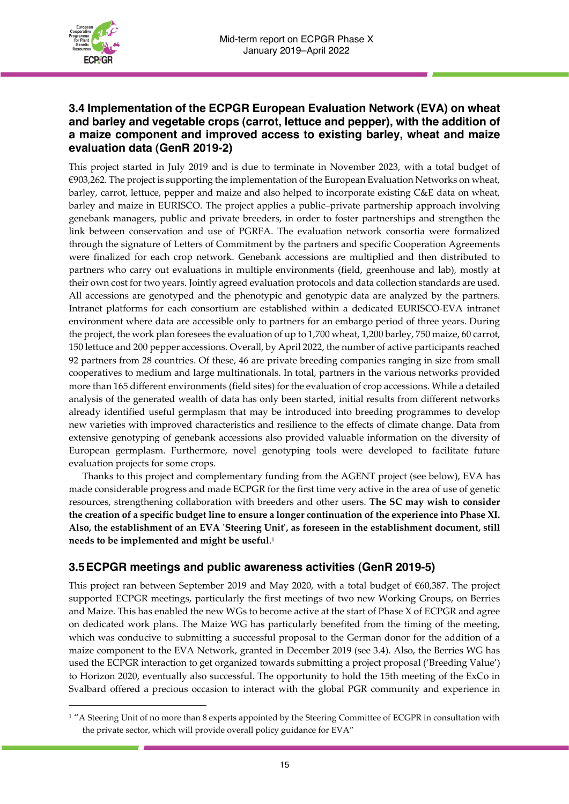

## **3.4 Implementation of the ECPGR European Evaluation Network (EVA) on wheat and barley and vegetable crops (carrot, lettuce and pepper), with the addition of a maize component and improved access to existing barley, wheat and maize evaluation data (GenR 2019-2)**

This project started in July 2019 and is due to terminate in November 2023, with a total budget of €903,262. The project is supporting the implementation of the European [Evaluation](https://www.ecpgr.cgiar.org/european-evaluation-network-eva) Networks on wheat, barley, carrot, lettuce, pepper and maize and also helped to incorporate existing C&E data on wheat, barley and maize in EURISCO. The project applies a public–private partnership approach involving genebank managers, public and private breeders, in order to foster partnerships and strengthen the link between conservation and use of PGRFA. The evaluation network consortia were formalized through the signature of Letters of Commitment by the partners and specific Cooperation Agreements were finalized for each crop network. Genebank accessions are multiplied and then distributed to partners who carry out evaluations in multiple environments (field, greenhouse and lab), mostly at their own cost for two years. Jointly agreed evaluation protocols and data collection standards are used. All accessions are genotyped and the phenotypic and genotypic data are analyzed by the partners. Intranet platforms for each consortium are established within a dedicated EURISCO-EVA intranet environment where data are accessible only to partners for an embargo period of three years. During the project, the work plan foresees the evaluation of up to 1,700 wheat, 1,200 barley, 750 maize, 60 carrot, 150 lettuce and 200 pepper accessions. Overall, by April 2022, the number of active participants reached 92 partners from 28 countries. Of these, 46 are private breeding companies ranging in size from small cooperatives to medium and large multinationals. In total, partners in the various networks provided more than 165 different environments (field sites) for the evaluation of crop accessions. While a detailed analysis of the generated wealth of data has only been started, initial results from different networks already identified useful germplasm that may be introduced into breeding programmes to develop new varieties with improved characteristics and resilience to the effects of climate change. Data from extensive genotyping of genebank accessions also provided valuable information on the diversity of European germplasm. Furthermore, novel genotyping tools were developed to facilitate future evaluation projects for some crops.

Thanks to this project and complementary funding from the AGENT project (see below), EVA has made considerable progress and made ECPGR for the first time very active in the area of use of genetic resources, strengthening collaboration with breeders and other users. **The SC may wish to consider** the creation of a specific budget line to ensure a longer continuation of the experience into Phase XI. **Also, the establishment of an EVA 'Steering Unit', as foreseen in the establishment document, still needs to be implemented and might be useful**. 1

## **3.5ECPGR meetings and public awareness activities (GenR 2019-5)**

This project ran between September 2019 and May 2020, with a total budget of €60,387. The project supported ECPGR meetings, particularly the first meetings of two new Working Groups, on Berries and Maize. This has enabled the new WGs to become active at the start of Phase X of ECPGR and agree on dedicated work plans. The Maize WG has particularly benefited from the timing of the meeting, which was conducive to submitting a successful proposal to the German donor for the addition of a maize component to the EVA Network, granted in December 2019 (see 3.4). Also, the Berries WG has used the ECPGR interaction to get organized towards submitting a project proposal ('Breeding Value') to Horizon 2020, eventually also successful. The opportunity to hold the 15th meeting of the ExCo in Svalbard offered a precious occasion to interact with the global PGR community and experience in

<sup>&</sup>lt;sup>1</sup> "A Steering Unit of no more than 8 experts appointed by the Steering Committee of ECGPR in consultation with the private sector, which will provide overall policy guidance for EVA"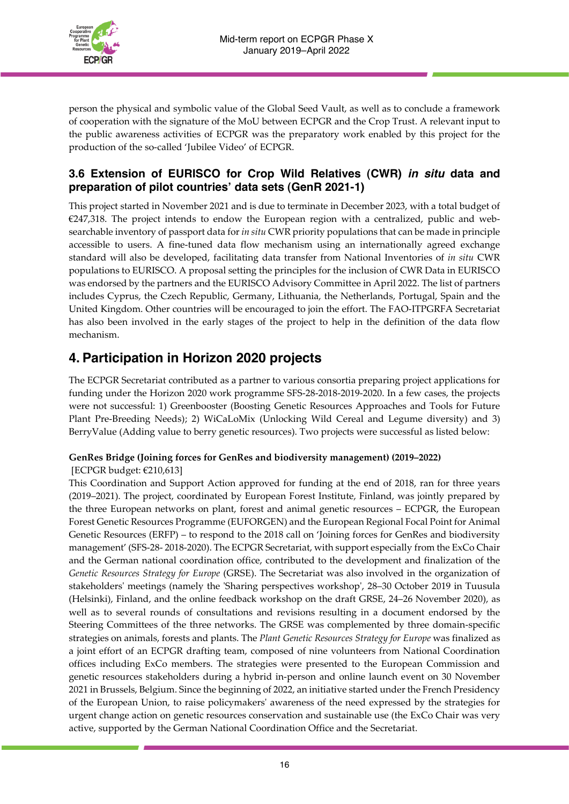

person the physical and symbolic value of the Global Seed Vault, as well as to conclude a framework of cooperation with the signature of the MoU between ECPGR and the Crop Trust. A relevant input to the public awareness activities of ECPGR was the preparatory work enabled by this project for the production of the so-called 'Jubilee Video' of ECPGR.

## **3.6 Extension of EURISCO for Crop Wild Relatives (CWR)** *in situ* **data and preparation of pilot countries' data sets (GenR 2021-1)**

This project started in November 2021 and is due to terminate in December 2023, with a total budget of  $€247,318$ . The [project](https://www.ecpgr.cgiar.org/working-groups/wild-species-conservation/cwr-in-eurisco) intends to endow the European region with a centralized, public and websearchable inventory of passport data for *in situ* CWR priority populations that can be made in principle accessible to users. A fine-tuned data flow mechanism using an internationally agreed exchange standard will also be developed, facilitating data transfer from National Inventories of *in situ* CWR populations to EURISCO. A proposal setting the principles for the inclusion of CWR Data in EURISCO was endorsed by the partners and the EURISCO Advisory Committee in April 2022. The list of partners includes Cyprus, the Czech Republic, Germany, Lithuania, the Netherlands, Portugal, Spain and the United Kingdom. Other countries will be encouraged to join the effort. The FAO-ITPGRFA Secretariat has also been involved in the early stages of the project to help in the definition of the data flow mechanism.

# **4. Participation in Horizon 2020 projects**

The ECPGR Secretariat contributed as a partner to various consortia preparing project applications for funding under the Horizon 2020 work programme SFS-28-2018-2019-2020. In a few cases, the projects were not successful: 1) Greenbooster (Boosting Genetic Resources Approaches and Tools for Future Plant Pre-Breeding Needs); 2) WiCaLoMix (Unlocking Wild Cereal and Legume diversity) and 3) BerryValue (Adding value to berry genetic resources). Two projects were successful as listed below:

#### **GenRes Bridge (Joining forces for GenRes and biodiversity management) (2019–2022)** [ECPGR budget: €210,613]

This Coordination and Support Action approved for funding at the end of 2018, ran for three years (2019–2021). The project, coordinated by European Forest Institute, Finland, was jointly prepared by the three European networks on plant, forest and animal genetic resources – ECPGR, the European Forest Genetic Resources Programme (EUFORGEN) and the European Regional Focal Point for Animal Genetic Resources (ERFP) – to respond to the 2018 call on 'Joining forces for GenRes and biodiversity management' (SFS-28- 2018-2020). The ECPGR Secretariat, with support especially from the ExCo Chair and the German national coordination office, contributed to the development and finalization of the *Genetic [Resources](http://www.genresbridge.eu/GRS4E) Strategy for Europe* (GRSE). The Secretariat was also involved in the organization of stakeholders' meetings (namely the 'Sharing [perspectives](http://www.genresbridge.eu/about-us/events/event/sharing-perspectives-workshop/) workshop', 28–30 October 2019 in Tuusula (Helsinki), Finland, and the online feedback workshop on the draft GRSE, 24–26 November 2020), as well as to several rounds of consultations and revisions resulting in a document endorsed by the Steering Committees of the three networks. The GRSE was complemented by three domain-specific strategies on animals, forests and plants. The *Plant Genetic [Resources](https://www.ecpgr.cgiar.org/resources/ecpgr-publications/publication/plant-genetic-resources-strategy-for-europe-2021) Strategy for Europe* was finalized as a joint effort of an ECPGR drafting team, composed of nine volunteers from National Coordination offices including ExCo members. The strategies were presented to the European Commission and genetic resources stakeholders during a hybrid in-person and online [launch](http://www.genresbridge.eu/genetic-resources-strategy-for-europe/press-release) event on 30 November 2021 in Brussels, Belgium. Since the beginning of 2022, an initiative started under the French Presidency of the European Union, to raise policymakers' awareness of the need expressed by the strategies for urgent change action on genetic resources conservation and sustainable use (the ExCo Chair was very active, supported by the German National Coordination Office and the Secretariat.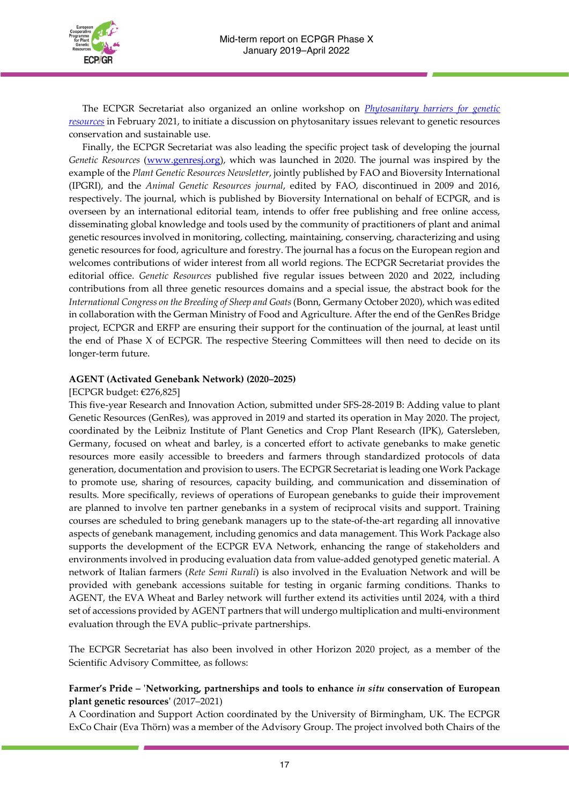

The ECPGR Secretariat also organized an online workshop on *[Phytosanitary](https://www.ecpgr.cgiar.org/working-groups/common-working-group-activities/phytosanitary-workshop) barriers for genetic [resources](https://www.ecpgr.cgiar.org/working-groups/common-working-group-activities/phytosanitary-workshop)* in February 2021, to initiate a discussion on phytosanitary issues relevant to genetic resources conservation and sustainable use.

Finally, the ECPGR Secretariat was also leading the specific project task of developing the journal *Genetic Resources* [\(www.genresj.org\)](http://www.genresj.org/), which was launched in 2020. The journal was inspired by the example of the *Plant Genetic Resources Newsletter*, jointly published by FAO and Bioversity International (IPGRI), and the *Animal Genetic Resources journal*, edited by FAO, discontinued in 2009 and 2016, respectively. The journal, which is published by Bioversity International on behalf of ECPGR, and is overseen by an international editorial team, intends to offer free publishing and free online access, disseminating global knowledge and tools used by the community of practitioners of plant and animal genetic resources involved in monitoring, collecting, maintaining, conserving, characterizing and using genetic resources for food, agriculture and forestry. The journal has a focus on the European region and welcomes contributions of wider interest from all world regions. The ECPGR Secretariat provides the editorial office. *Genetic Resources* published five regular issues between 2020 and 2022, including contributions from all three genetic resources domains and a special issue, the [abstract](https://www.genresj.org/index.php/grj/issue/view/genresj.S2) book for the *[International](https://www.genresj.org/index.php/grj/issue/view/genresj.S2) Congress on the Breeding of Sheep and Goats*(Bonn, Germany October 2020), which was edited in collaboration with the German Ministry of Food and Agriculture. After the end of the GenRes Bridge project, ECPGR and ERFP are ensuring their support for the continuation of the journal, at least until the end of Phase X of ECPGR. The respective Steering Committees will then need to decide on its longer-term future.

#### **AGENT (Activated Genebank Network) (2020–2025)**

#### [ECPGR budget: €276,825]

This five-year Research and Innovation Action, submitted under SFS-28-2019 B: Adding value to plant Genetic Resources (GenRes), was approved in 2019 and started its operation in May 2020. The project, coordinated by the Leibniz Institute of Plant Genetics and Crop Plant Research (IPK), Gatersleben, Germany, focused on wheat and barley, is a concerted effort to activate genebanks to make genetic resources more easily accessible to breeders and farmers through standardized protocols of data generation, documentation and provision to users. The ECPGR Secretariat is leading one Work Package to promote use, sharing of resources, capacity building, and communication and dissemination of results. More specifically, reviews of operations of European genebanks to guide their improvement are planned to involve ten partner genebanks in a system of reciprocal visits and support. Training courses are scheduled to bring genebank managers up to the state-of-the-art regarding all innovative aspects of genebank management, including genomics and data management. This Work Package also supports the development of the ECPGR EVA Network, enhancing the range of stakeholders and environments involved in producing evaluation data from value-added genotyped genetic material. A network of Italian farmers (*Rete Semi Rurali*) is also involved in the Evaluation Network and will be provided with genebank accessions suitable for testing in organic farming conditions. Thanks to AGENT, the EVA Wheat and Barley network will further extend its activities until 2024, with a third set of accessions provided by AGENT partners that will undergo multiplication and multi-environment evaluation through the EVA public–private partnerships.

The ECPGR Secretariat has also been involved in other Horizon 2020 project, as a member of the Scientific Advisory Committee, as follows:

#### **Farmer's Pride – 'Networking, partnerships and tools to enhance** *in situ* **conservation of European plant genetic resources'** (2017–2021)

A Coordination and Support Action coordinated by the University of Birmingham, UK. The ECPGR ExCo Chair (Eva Thörn) was a member of the Advisory Group. The project involved both Chairs of the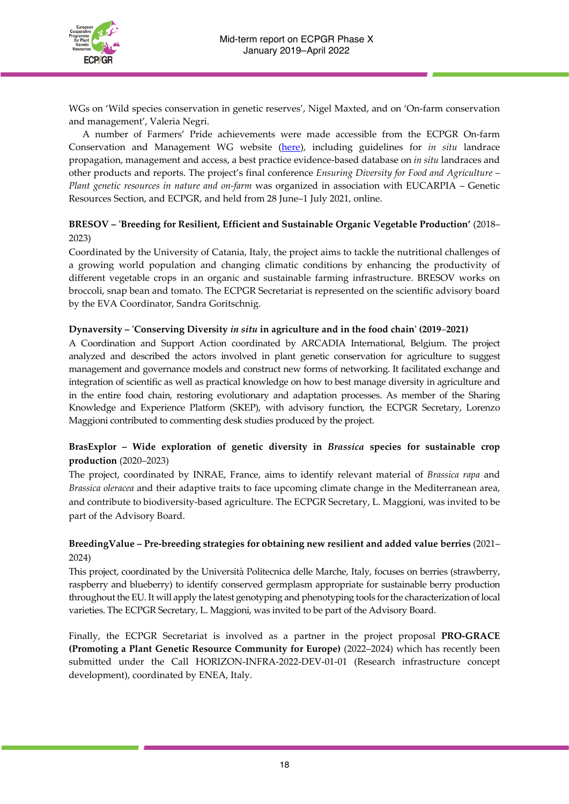

WGs on 'Wild species conservation in genetic reserves', Nigel Maxted, and on 'On-farm conservation and management', Valeria Negri.

A number of Farmers' Pride achievements were made accessible from the ECPGR On-farm Conservation and Management WG website [\(here\)](https://www.ecpgr.cgiar.org/working-groups/on-farm-conservation), including guidelines for *in situ* landrace propagation, management and access, a best practice evidence-based database on *in situ* landraces and other products and reports. The project's final conference *Ensuring Diversity for Food and Agriculture – Plant genetic resources in nature and on-farm* was organized in association with EUCARPIA – Genetic Resources Section, and ECPGR, and held from 28 June–1 July 2021, online.

## **BRESOV – 'Breeding for Resilient, Efficient and Sustainable Organic Vegetable Production'** (2018– 2023)

Coordinated by the University of Catania, Italy, the project aims to tackle the nutritional challenges of a growing world population and changing climatic conditions by enhancing the productivity of different vegetable crops in an organic and sustainable farming infrastructure. BRESOV works on broccoli, snap bean and tomato. The ECPGR Secretariat is represented on the scientific advisory board by the EVA Coordinator, Sandra Goritschnig.

#### **Dynaversity – 'Conserving Diversity** *in situ* **in agriculture and in the food chain' (2019**–**2021)**

A Coordination and Support Action coordinated by ARCADIA International, Belgium. The project analyzed and described the actors involved in plant genetic conservation for agriculture to suggest management and governance models and construct new forms of networking. It facilitated exchange and integration of scientific as well as practical knowledge on how to best manage diversity in agriculture and in the entire food chain, restoring evolutionary and adaptation processes. As member of the Sharing Knowledge and Experience Platform (SKEP), with advisory function, the ECPGR Secretary, Lorenzo Maggioni contributed to commenting desk studies produced by the project.

## **[BrasExplor](https://www6.inrae.fr/brasexplor) – Wide exploration of genetic diversity in** *Brassica* **species for sustainable crop production** (2020–2023)

The project, coordinated by INRAE, France, aims to identify relevant material of *Brassica rapa* and *Brassica oleracea* and their adaptive traits to face upcoming climate change in the Mediterranean area, and contribute to biodiversity-based agriculture. The ECPGR Secretary, L. Maggioni, was invited to be part of the Advisory Board.

## **[BreedingValue](https://cordis.europa.eu/project/id/101000747) – Pre-breeding strategies for obtaining new resilient and added value berries** (2021– 2024)

This project, coordinated by the Università Politecnica delle Marche, Italy, focuses on berries (strawberry, raspberry and blueberry) to identify conserved germplasm appropriate for sustainable berry production throughout the EU. It will apply the latest genotyping and phenotyping tools forthe characterization of local varieties. The ECPGR Secretary, L. Maggioni, was invited to be part of the Advisory Board.

Finally, the ECPGR Secretariat is involved as a partner in the project proposal **PRO-GRACE (Promoting a Plant Genetic Resource Community for Europe)** (2022–2024) which has recently been submitted under the Call HORIZON-INFRA-2022-DEV-01-01 (Research infrastructure concept development), coordinated by ENEA, Italy.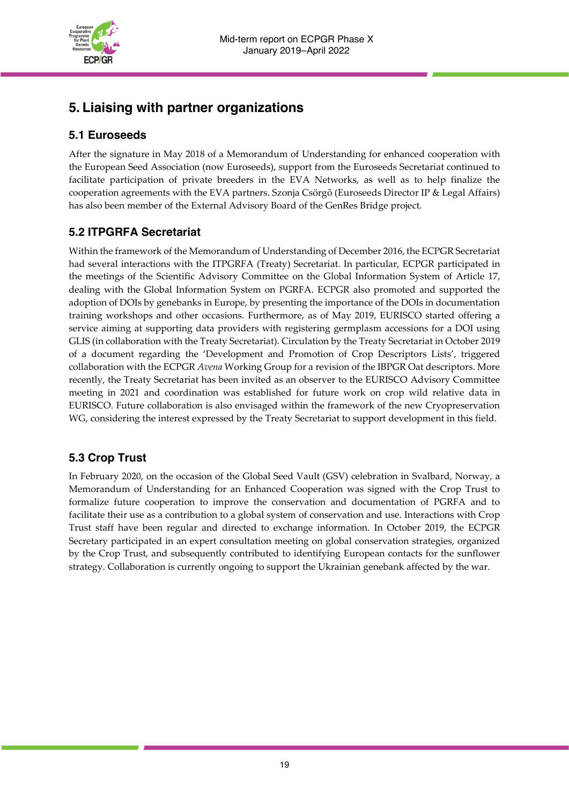

# **5. Liaising with partner organizations**

## **5.1 Euroseeds**

After the signature in May 2018 of a Memorandum of Understanding for enhanced cooperation with the European Seed Association (now Euroseeds), support from the Euroseeds Secretariat continued to facilitate participation of private breeders in the EVA Networks, as well as to help finalize the cooperation agreements with the EVA partners. Szonja Csörgõ (Euroseeds Director IP & Legal Affairs) has also been member of the External Advisory Board of the GenRes Bridge project.

## **5.2 ITPGRFA Secretariat**

Within the framework of the Memorandum of Understanding of December 2016, the ECPGR Secretariat had several interactions with the ITPGRFA (Treaty) Secretariat. In particular, ECPGR participated in the meetings of the Scientific Advisory Committee on the Global Information System of Article 17, dealing with the Global Information System on PGRFA. ECPGR also promoted and supported the adoption of DOIs by genebanks in Europe, by presenting the importance of the DOIs in documentation training workshops and other occasions. Furthermore, as of May 2019, EURISCO started offering a service aiming at supporting data providers with registering germplasm accessions for a DOI using GLIS (in collaboration with the Treaty Secretariat). Circulation by the Treaty Secretariat in October 2019 of a document regarding the 'Development and Promotion of Crop Descriptors Lists', triggered collaboration with the ECPGR *Avena* Working Group for a revision of the IBPGR Oat descriptors. More recently, the Treaty Secretariat has been invited as an observer to the EURISCO Advisory Committee meeting in 2021 and coordination was established for future work on crop wild relative data in EURISCO. Future collaboration is also envisaged within the framework of the new Cryopreservation WG, considering the interest expressed by the Treaty Secretariat to support development in this field.

## **5.3 Crop Trust**

In February 2020, on the occasion of the Global Seed Vault (GSV) celebration in Svalbard, Norway, a Memorandum of Understanding for an Enhanced Cooperation was signed with the Crop Trust to formalize future cooperation to improve the conservation and documentation of PGRFA and to facilitate their use as a contribution to a global system of conservation and use. Interactions with Crop Trust staff have been regular and directed to exchange information. In October 2019, the ECPGR Secretary participated in an expert consultation meeting on global conservation strategies, organized by the Crop Trust, and subsequently contributed to identifying European contacts for the sunflower strategy. Collaboration is currently ongoing to support the Ukrainian genebank affected by the war.